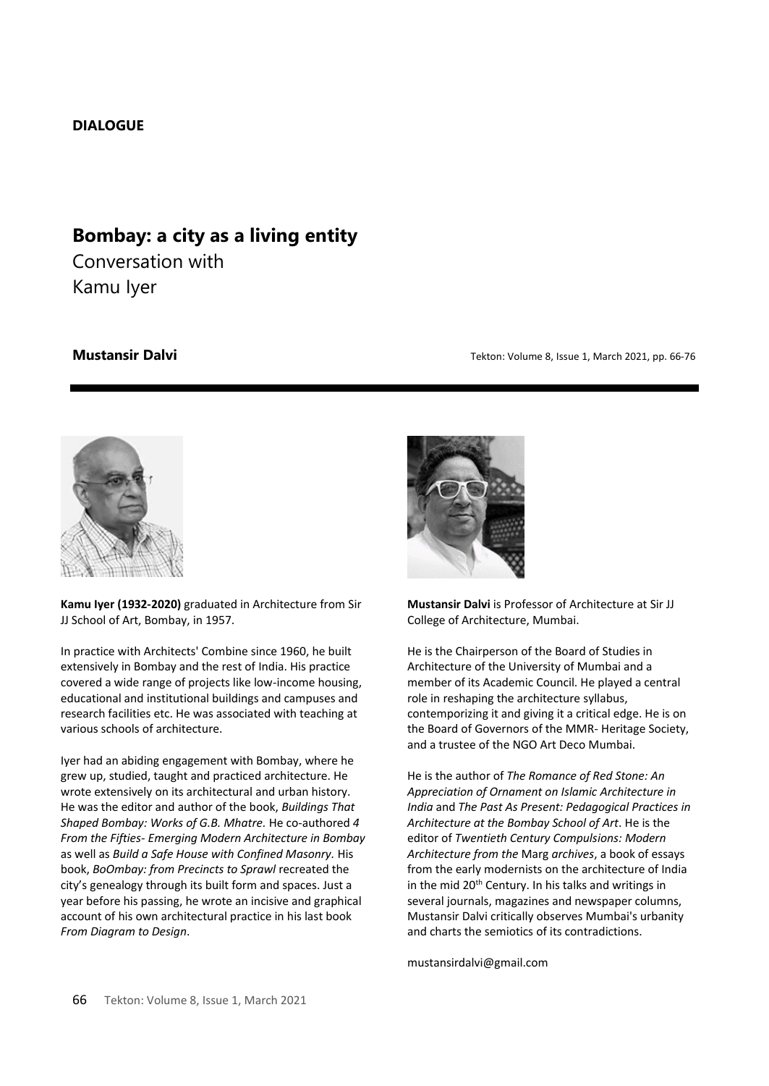# **DIALOGUE**

# **Bombay: a city as a living entity**

Conversation with Kamu Iyer

**Mustansir Dalvi** *Mustansir Dalvi* **1998** *Mustansir Dalvi* **<b>***Tekton: Volume 8, Issue 1, March 2021, pp. 66-76* 



**Kamu Iyer (1932-2020)** graduated in Architecture from Sir JJ School of Art, Bombay, in 1957.

In practice with Architects' Combine since 1960, he built extensively in Bombay and the rest of India. His practice covered a wide range of projects like low-income housing, educational and institutional buildings and campuses and research facilities etc. He was associated with teaching at various schools of architecture.

Iyer had an abiding engagement with Bombay, where he grew up, studied, taught and practiced architecture. He wrote extensively on its architectural and urban history. He was the editor and author of the book, *Buildings That Shaped Bombay: Works of G.B. Mhatre.* He co-authored *4 From the Fifties- Emerging Modern Architecture in Bombay* as well as *Build a Safe House with Confined Masonry.* His book, *BoOmbay: from Precincts to Sprawl* recreated the city's genealogy through its built form and spaces. Just a year before his passing, he wrote an incisive and graphical account of his own architectural practice in his last book *From Diagram to Design*.



**Mustansir Dalvi** is Professor of Architecture at Sir JJ College of Architecture, Mumbai.

He is the Chairperson of the Board of Studies in Architecture of the University of Mumbai and a member of its Academic Council. He played a central role in reshaping the architecture syllabus, contemporizing it and giving it a critical edge. He is on the Board of Governors of the MMR- Heritage Society, and a trustee of the NGO Art Deco Mumbai.

He is the author of *The Romance of Red Stone: An Appreciation of Ornament on Islamic Architecture in India* and *The Past As Present: Pedagogical Practices in Architecture at the Bombay School of Art*. He is the editor of *Twentieth Century Compulsions: Modern Architecture from the* Marg *archives*, a book of essays from the early modernists on the architecture of India in the mid 20<sup>th</sup> Century. In his talks and writings in several journals, magazines and newspaper columns, Mustansir Dalvi critically observes Mumbai's urbanity and charts the semiotics of its contradictions.

mustansirdalvi@gmail.com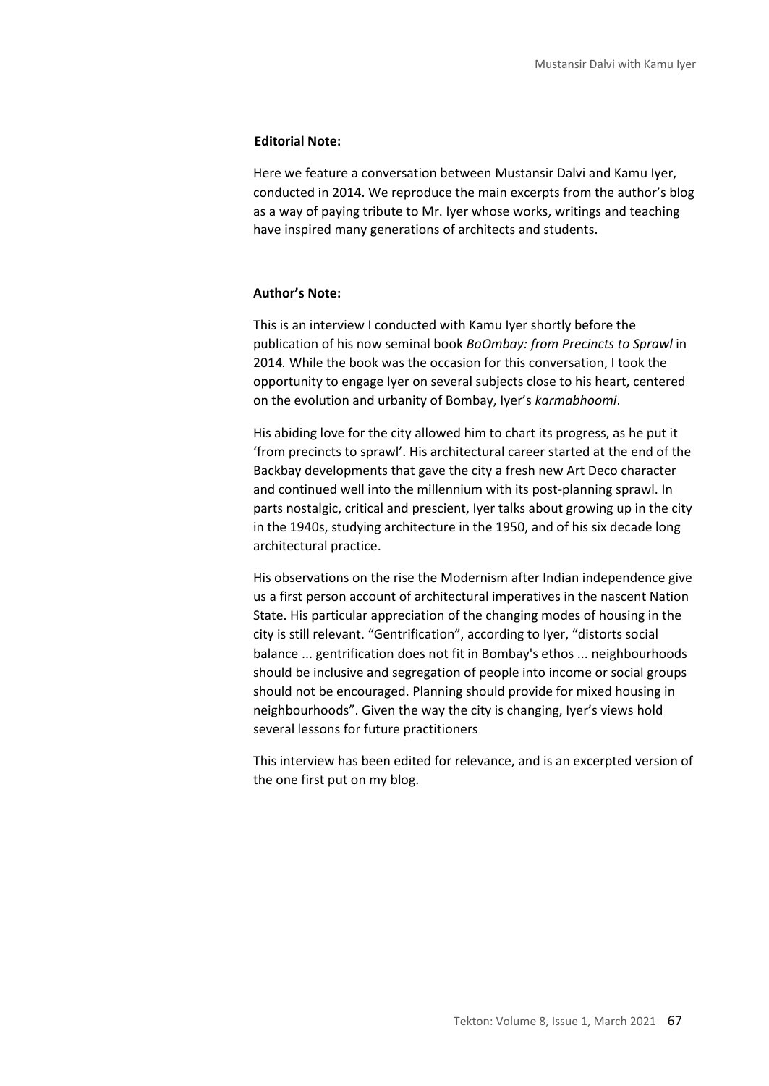#### **Editorial Note:**

Here we feature a conversation between Mustansir Dalvi and Kamu Iyer, conducted in 2014. We reproduce the main excerpts from the author's blog as a way of paying tribute to Mr. Iyer whose works, writings and teaching have inspired many generations of architects and students.

#### **Author's Note:**

This is an interview I conducted with Kamu Iyer shortly before the publication of his now seminal book *BoOmbay: from Precincts to Sprawl* in 2014*.* While the book was the occasion for this conversation, I took the opportunity to engage Iyer on several subjects close to his heart, centered on the evolution and urbanity of Bombay, Iyer's *karmabhoomi*.

His abiding love for the city allowed him to chart its progress, as he put it 'from precincts to sprawl'. His architectural career started at the end of the Backbay developments that gave the city a fresh new Art Deco character and continued well into the millennium with its post-planning sprawl. In parts nostalgic, critical and prescient, Iyer talks about growing up in the city in the 1940s, studying architecture in the 1950, and of his six decade long architectural practice.

His observations on the rise the Modernism after Indian independence give us a first person account of architectural imperatives in the nascent Nation State. His particular appreciation of the changing modes of housing in the city is still relevant. "Gentrification", according to Iyer, "distorts social balance ... gentrification does not fit in Bombay's ethos ... neighbourhoods should be inclusive and segregation of people into income or social groups should not be encouraged. Planning should provide for mixed housing in neighbourhoods". Given the way the city is changing, Iyer's views hold several lessons for future practitioners

This interview has been edited for relevance, and is an excerpted version of the one first put on my blog.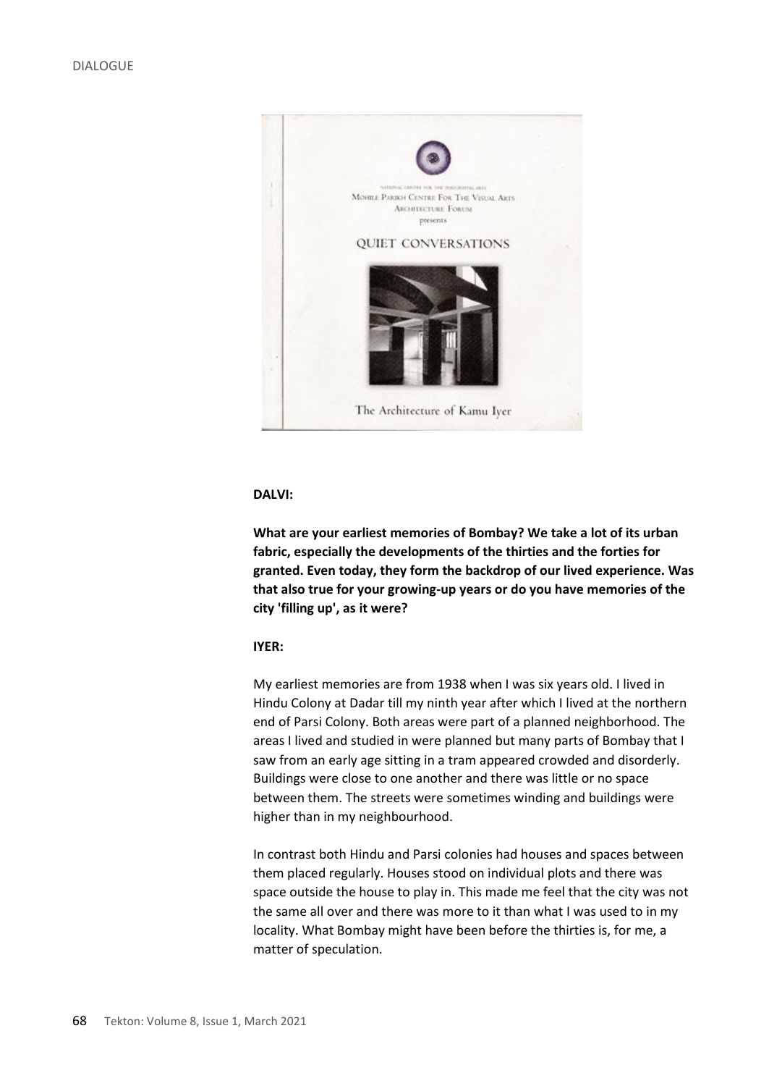

**What are your earliest memories of Bombay? We take a lot of its urban fabric, especially the developments of the thirties and the forties for granted. Even today, they form the backdrop of our lived experience. Was that also true for your growing-up years or do you have memories of the city 'filling up', as it were?**

# **IYER:**

My earliest memories are from 1938 when I was six years old. I lived in Hindu Colony at Dadar till my ninth year after which I lived at the northern end of Parsi Colony. Both areas were part of a planned neighborhood. The areas I lived and studied in were planned but many parts of Bombay that I saw from an early age sitting in a tram appeared crowded and disorderly. Buildings were close to one another and there was little or no space between them. The streets were sometimes winding and buildings were higher than in my neighbourhood.

In contrast both Hindu and Parsi colonies had houses and spaces between them placed regularly. Houses stood on individual plots and there was space outside the house to play in. This made me feel that the city was not the same all over and there was more to it than what I was used to in my locality. What Bombay might have been before the thirties is, for me, a matter of speculation.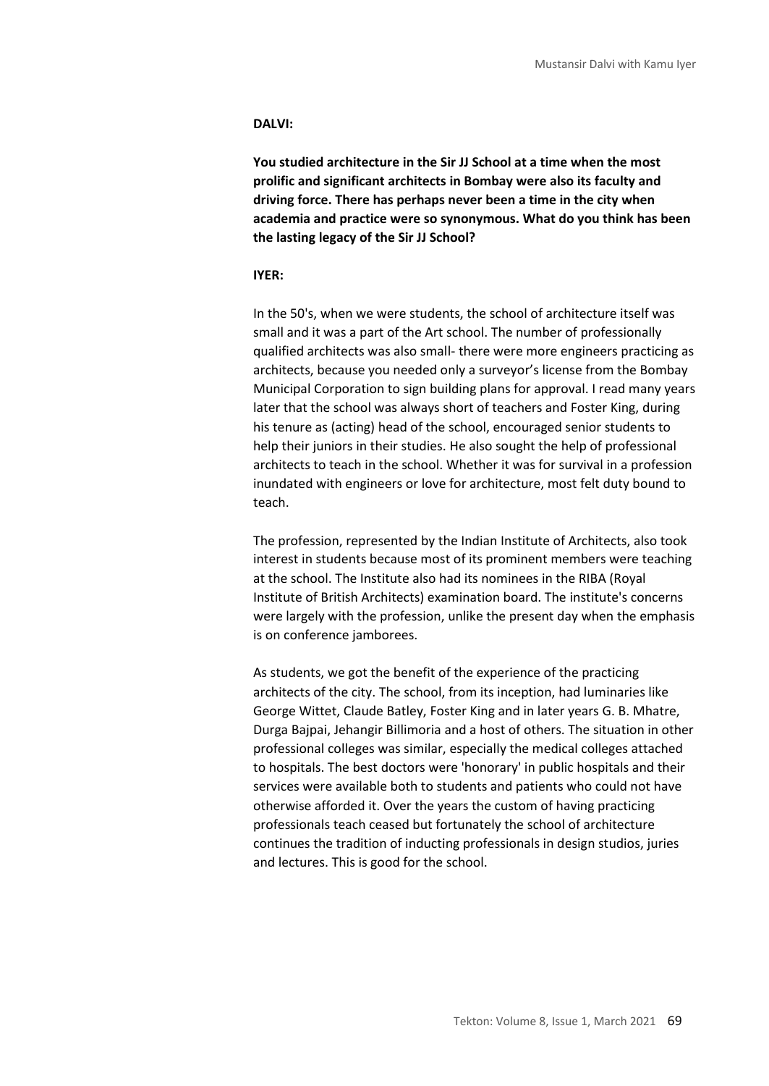**You studied architecture in the Sir JJ School at a time when the most prolific and significant architects in Bombay were also its faculty and driving force. There has perhaps never been a time in the city when academia and practice were so synonymous. What do you think has been the lasting legacy of the Sir JJ School?**

#### **IYER:**

In the 50's, when we were students, the school of architecture itself was small and it was a part of the Art school. The number of professionally qualified architects was also small- there were more engineers practicing as architects, because you needed only a surveyor's license from the Bombay Municipal Corporation to sign building plans for approval. I read many years later that the school was always short of teachers and Foster King, during his tenure as (acting) head of the school, encouraged senior students to help their juniors in their studies. He also sought the help of professional architects to teach in the school. Whether it was for survival in a profession inundated with engineers or love for architecture, most felt duty bound to teach.

The profession, represented by the Indian Institute of Architects, also took interest in students because most of its prominent members were teaching at the school. The Institute also had its nominees in the RIBA (Royal Institute of British Architects) examination board. The institute's concerns were largely with the profession, unlike the present day when the emphasis is on conference jamborees.

As students, we got the benefit of the experience of the practicing architects of the city. The school, from its inception, had luminaries like George Wittet, Claude Batley, Foster King and in later years G. B. Mhatre, Durga Bajpai, Jehangir Billimoria and a host of others. The situation in other professional colleges was similar, especially the medical colleges attached to hospitals. The best doctors were 'honorary' in public hospitals and their services were available both to students and patients who could not have otherwise afforded it. Over the years the custom of having practicing professionals teach ceased but fortunately the school of architecture continues the tradition of inducting professionals in design studios, juries and lectures. This is good for the school.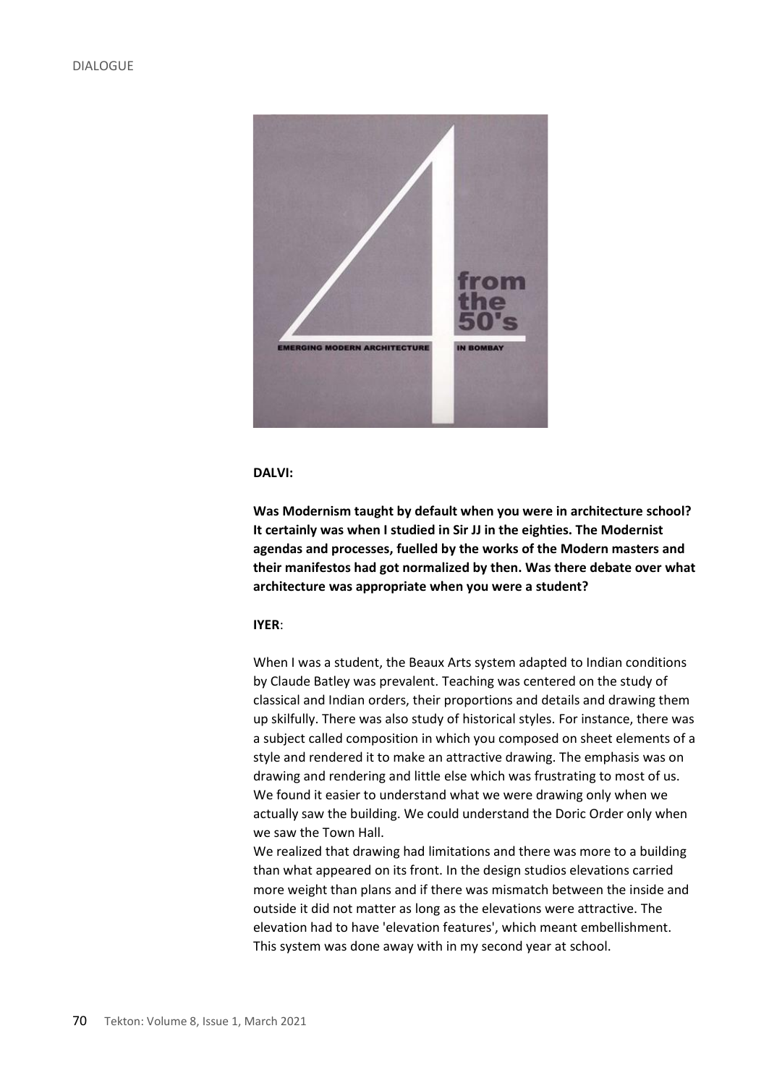

**Was Modernism taught by default when you were in architecture school? It certainly was when I studied in Sir JJ in the eighties. The Modernist agendas and processes, fuelled by the works of the Modern masters and their manifestos had got normalized by then. Was there debate over what architecture was appropriate when you were a student?**

# **IYER**:

When I was a student, the Beaux Arts system adapted to Indian conditions by Claude Batley was prevalent. Teaching was centered on the study of classical and Indian orders, their proportions and details and drawing them up skilfully. There was also study of historical styles. For instance, there was a subject called composition in which you composed on sheet elements of a style and rendered it to make an attractive drawing. The emphasis was on drawing and rendering and little else which was frustrating to most of us. We found it easier to understand what we were drawing only when we actually saw the building. We could understand the Doric Order only when we saw the Town Hall.

We realized that drawing had limitations and there was more to a building than what appeared on its front. In the design studios elevations carried more weight than plans and if there was mismatch between the inside and outside it did not matter as long as the elevations were attractive. The elevation had to have 'elevation features', which meant embellishment. This system was done away with in my second year at school.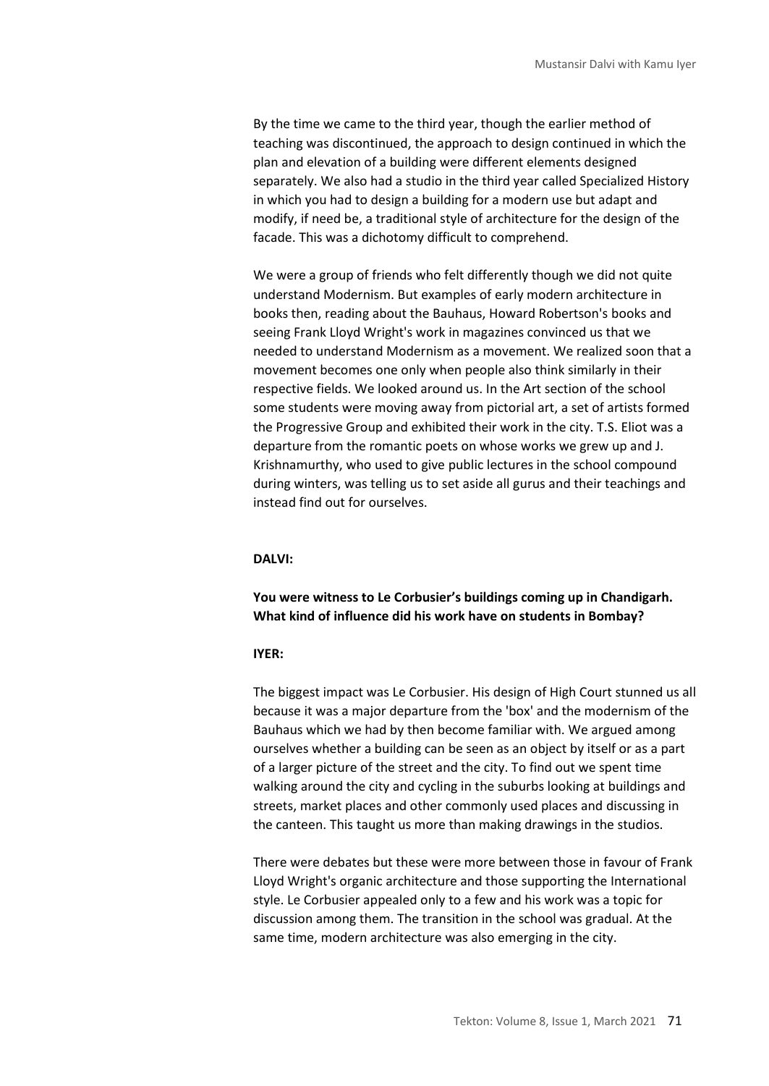By the time we came to the third year, though the earlier method of teaching was discontinued, the approach to design continued in which the plan and elevation of a building were different elements designed separately. We also had a studio in the third year called Specialized History in which you had to design a building for a modern use but adapt and modify, if need be, a traditional style of architecture for the design of the facade. This was a dichotomy difficult to comprehend.

We were a group of friends who felt differently though we did not quite understand Modernism. But examples of early modern architecture in books then, reading about the Bauhaus, Howard Robertson's books and seeing Frank Lloyd Wright's work in magazines convinced us that we needed to understand Modernism as a movement. We realized soon that a movement becomes one only when people also think similarly in their respective fields. We looked around us. In the Art section of the school some students were moving away from pictorial art, a set of artists formed the Progressive Group and exhibited their work in the city. T.S. Eliot was a departure from the romantic poets on whose works we grew up and J. Krishnamurthy, who used to give public lectures in the school compound during winters, was telling us to set aside all gurus and their teachings and instead find out for ourselves.

### **DALVI:**

**You were witness to Le Corbusier's buildings coming up in Chandigarh. What kind of influence did his work have on students in Bombay?**

#### **IYER:**

The biggest impact was Le Corbusier. His design of High Court stunned us all because it was a major departure from the 'box' and the modernism of the Bauhaus which we had by then become familiar with. We argued among ourselves whether a building can be seen as an object by itself or as a part of a larger picture of the street and the city. To find out we spent time walking around the city and cycling in the suburbs looking at buildings and streets, market places and other commonly used places and discussing in the canteen. This taught us more than making drawings in the studios.

There were debates but these were more between those in favour of Frank Lloyd Wright's organic architecture and those supporting the International style. Le Corbusier appealed only to a few and his work was a topic for discussion among them. The transition in the school was gradual. At the same time, modern architecture was also emerging in the city.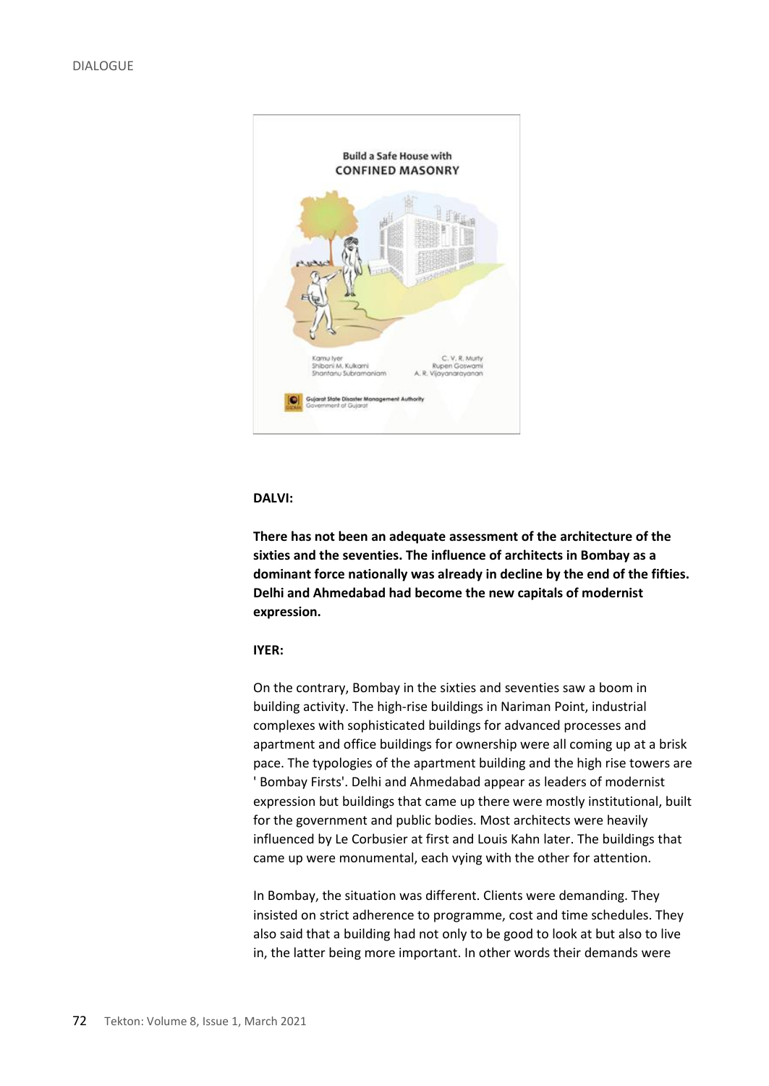

**There has not been an adequate assessment of the architecture of the sixties and the seventies. The influence of architects in Bombay as a dominant force nationally was already in decline by the end of the fifties. Delhi and Ahmedabad had become the new capitals of modernist expression.**

# **IYER:**

On the contrary, Bombay in the sixties and seventies saw a boom in building activity. The high-rise buildings in Nariman Point, industrial complexes with sophisticated buildings for advanced processes and apartment and office buildings for ownership were all coming up at a brisk pace. The typologies of the apartment building and the high rise towers are ' Bombay Firsts'. Delhi and Ahmedabad appear as leaders of modernist expression but buildings that came up there were mostly institutional, built for the government and public bodies. Most architects were heavily influenced by Le Corbusier at first and Louis Kahn later. The buildings that came up were monumental, each vying with the other for attention.

In Bombay, the situation was different. Clients were demanding. They insisted on strict adherence to programme, cost and time schedules. They also said that a building had not only to be good to look at but also to live in, the latter being more important. In other words their demands were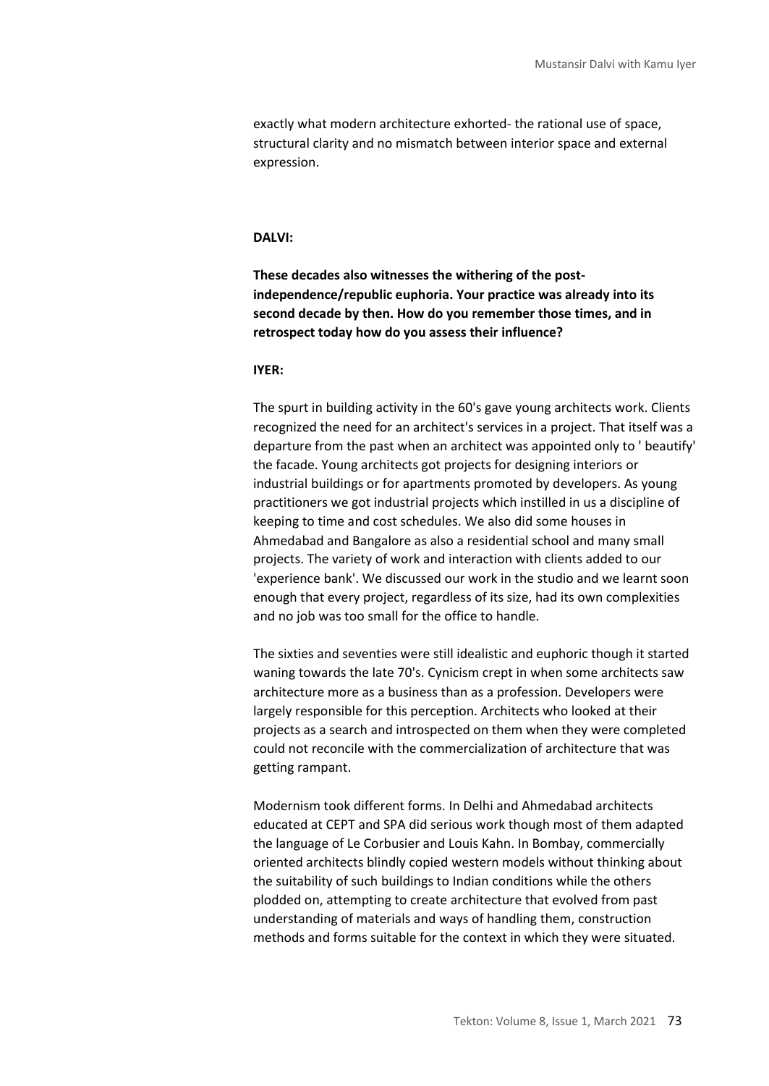exactly what modern architecture exhorted- the rational use of space, structural clarity and no mismatch between interior space and external expression.

# **DALVI:**

**These decades also witnesses the withering of the postindependence/republic euphoria. Your practice was already into its second decade by then. How do you remember those times, and in retrospect today how do you assess their influence?**

#### **IYER:**

The spurt in building activity in the 60's gave young architects work. Clients recognized the need for an architect's services in a project. That itself was a departure from the past when an architect was appointed only to ' beautify' the facade. Young architects got projects for designing interiors or industrial buildings or for apartments promoted by developers. As young practitioners we got industrial projects which instilled in us a discipline of keeping to time and cost schedules. We also did some houses in Ahmedabad and Bangalore as also a residential school and many small projects. The variety of work and interaction with clients added to our 'experience bank'. We discussed our work in the studio and we learnt soon enough that every project, regardless of its size, had its own complexities and no job was too small for the office to handle.

The sixties and seventies were still idealistic and euphoric though it started waning towards the late 70's. Cynicism crept in when some architects saw architecture more as a business than as a profession. Developers were largely responsible for this perception. Architects who looked at their projects as a search and introspected on them when they were completed could not reconcile with the commercialization of architecture that was getting rampant.

Modernism took different forms. In Delhi and Ahmedabad architects educated at CEPT and SPA did serious work though most of them adapted the language of Le Corbusier and Louis Kahn. In Bombay, commercially oriented architects blindly copied western models without thinking about the suitability of such buildings to Indian conditions while the others plodded on, attempting to create architecture that evolved from past understanding of materials and ways of handling them, construction methods and forms suitable for the context in which they were situated.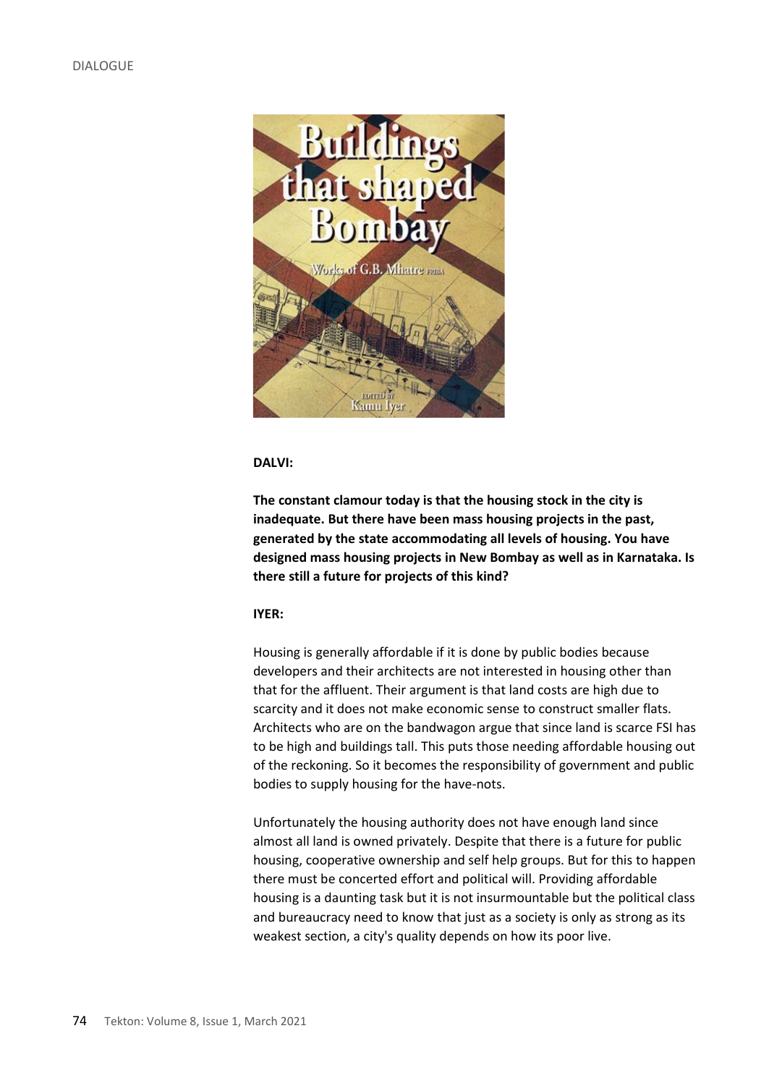

**The constant clamour today is that the housing stock in the city is inadequate. But there have been mass housing projects in the past, generated by the state accommodating all levels of housing. You have designed mass housing projects in New Bombay as well as in Karnataka. Is there still a future for projects of this kind?**

#### **IYER:**

Housing is generally affordable if it is done by public bodies because developers and their architects are not interested in housing other than that for the affluent. Their argument is that land costs are high due to scarcity and it does not make economic sense to construct smaller flats. Architects who are on the bandwagon argue that since land is scarce FSI has to be high and buildings tall. This puts those needing affordable housing out of the reckoning. So it becomes the responsibility of government and public bodies to supply housing for the have-nots.

Unfortunately the housing authority does not have enough land since almost all land is owned privately. Despite that there is a future for public housing, cooperative ownership and self help groups. But for this to happen there must be concerted effort and political will. Providing affordable housing is a daunting task but it is not insurmountable but the political class and bureaucracy need to know that just as a society is only as strong as its weakest section, a city's quality depends on how its poor live.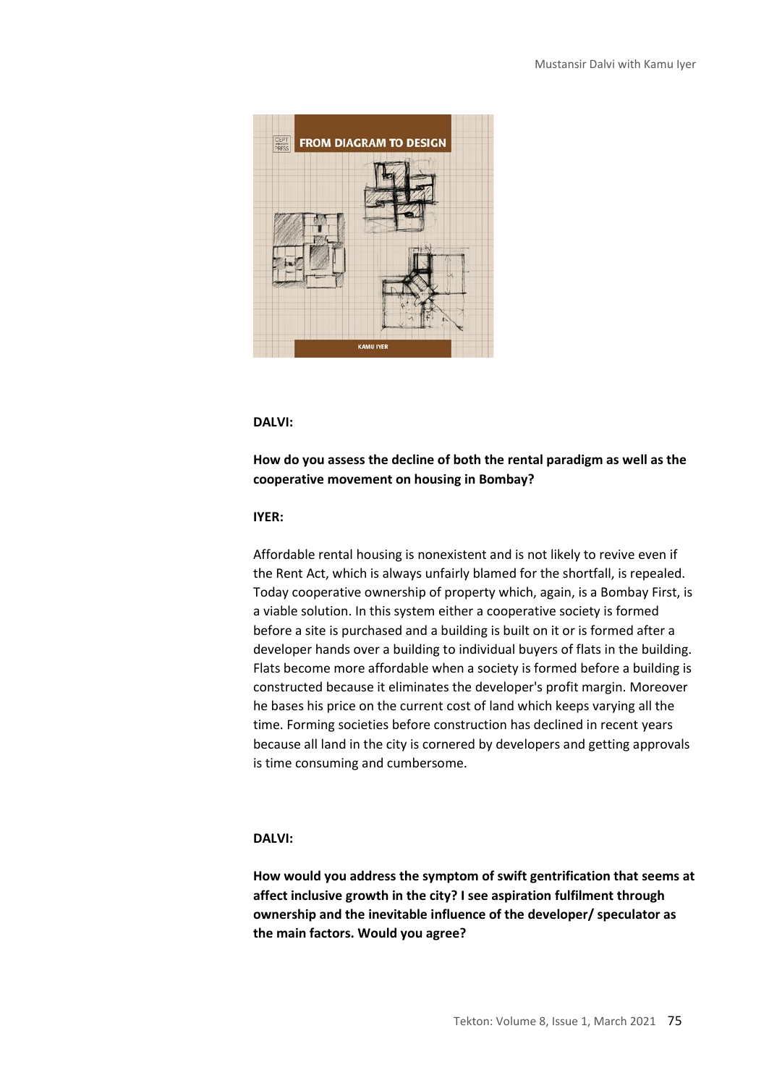

# **How do you assess the decline of both the rental paradigm as well as the cooperative movement on housing in Bombay?**

### **IYER:**

Affordable rental housing is nonexistent and is not likely to revive even if the Rent Act, which is always unfairly blamed for the shortfall, is repealed. Today cooperative ownership of property which, again, is a Bombay First, is a viable solution. In this system either a cooperative society is formed before a site is purchased and a building is built on it or is formed after a developer hands over a building to individual buyers of flats in the building. Flats become more affordable when a society is formed before a building is constructed because it eliminates the developer's profit margin. Moreover he bases his price on the current cost of land which keeps varying all the time. Forming societies before construction has declined in recent years because all land in the city is cornered by developers and getting approvals is time consuming and cumbersome.

# **DALVI:**

**How would you address the symptom of swift gentrification that seems at affect inclusive growth in the city? I see aspiration fulfilment through ownership and the inevitable influence of the developer/ speculator as the main factors. Would you agree?**